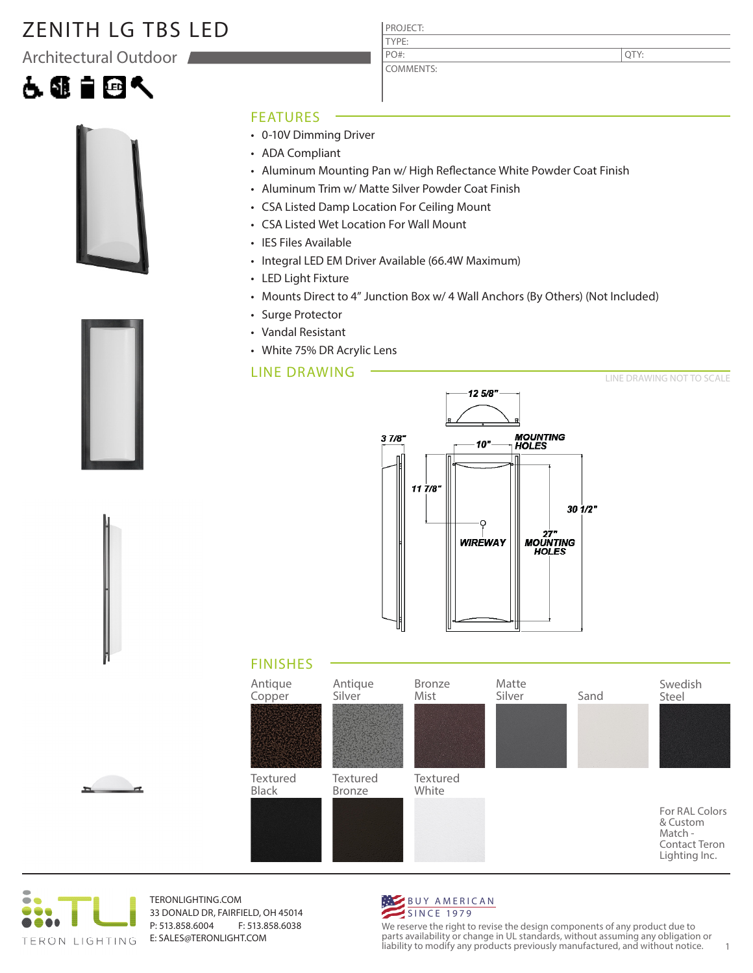## ZENITH LG TBS LED

Architectural Outdoor

# 60195



### FEATURES

- 0-10V Dimming Driver
- ADA Compliant
- Aluminum Mounting Pan w/ High Reflectance White Powder Coat Finish
- Aluminum Trim w/ Matte Silver Powder Coat Finish

PROJECT: TYPE:

PO#:

COMMENTS:

- CSA Listed Damp Location For Ceiling Mount
- CSA Listed Wet Location For Wall Mount
- IES Files Available
- Integral LED EM Driver Available (66.4W Maximum)
- LED Light Fixture
- Mounts Direct to 4" Junction Box w/ 4 Wall Anchors (By Others) (Not Included)
- Surge Protector
- Vandal Resistant
- White 75% DR Acrylic Lens

### LINE DRAWING

12 5/8"  $37/8$ **MOUNTING<br>HOLES**  $10"$  $117/8$ 30 1/2" 27"<br>MOUNTING **WIREWAY HOLES** 

### FINISHES





TERONLIGHTING.COM 33 DONALD DR, FAIRFIELD, OH 45014 P: 513.858.6004 F: 513.858.6038 E: SALES@TERONLIGHT.COM



We reserve the right to revise the design components of any product due to parts availability or change in UL standards, without assuming any obligation or liability to modify any products previously manufactured, and without notice. 1





LINE DRAWING NOT TO SCALE